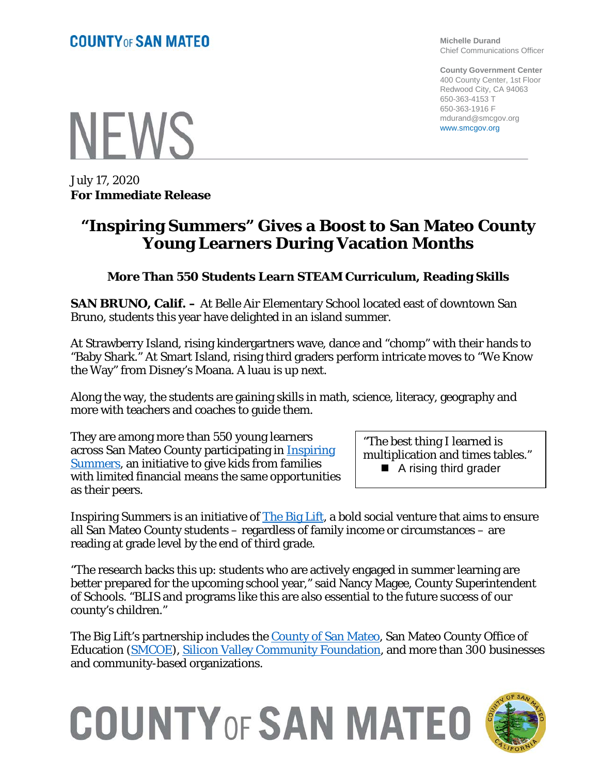**Michelle Durand** Chief Communications Officer

**County Government Center** 400 County Center, 1st Floor Redwood City, CA 94063 650-363-4153 T 650-363-1916 F mdurand@smcgov.org www.smcgov.org

**NEWS** 

July 17, 2020 **For Immediate Release**

### **"Inspiring Summers" Gives a Boost to San Mateo County Young Learners During Vacation Months**

#### **More Than 550 Students Learn STEAM Curriculum, Reading Skills**

**SAN BRUNO, Calif. –** At Belle Air Elementary School located east of downtown San Bruno, students this year have delighted in an island summer.

At Strawberry Island, rising kindergartners wave, dance and "chomp" with their hands to "Baby Shark." At Smart Island, rising third graders perform intricate moves to "We Know the Way" from Disney's Moana. A luau is up next.

Along the way, the students are gaining skills in math, science, literacy, geography and more with teachers and coaches to guide them.

They are among more than 550 young learners across San Mateo County participating in [Inspiring](https://www.thebiglift.org/our-approach/key-pillars/inspiring-summers/)  [Summers,](https://www.thebiglift.org/our-approach/key-pillars/inspiring-summers/) an initiative to give kids from families with limited financial means the same opportunities as their peers.

"The best thing I learned is multiplication and times tables." ■ A rising third grader

Inspiring Summers is an initiative of [The Big Lift,](https://www.thebiglift.org/our-approach/key-pillars/inspiring-summers/) a bold social venture that aims to ensure all San Mateo County students – regardless of family income or circumstances – are reading at grade level by the end of third grade.

"The research backs this up: students who are actively engaged in summer learning are better prepared for the upcoming school year," said Nancy Magee, County Superintendent of Schools. "BLIS and programs like this are also essential to the future success of our county's children."

The Big Lift's partnership includes the County of San Mateo, San Mateo County Office of Education [\(SMCOE\)](https://www.smcoe.org/), [Silicon Valley Community Foundation,](https://www.siliconvalleycf.org/) and more than 300 businesses and community-based organizations.



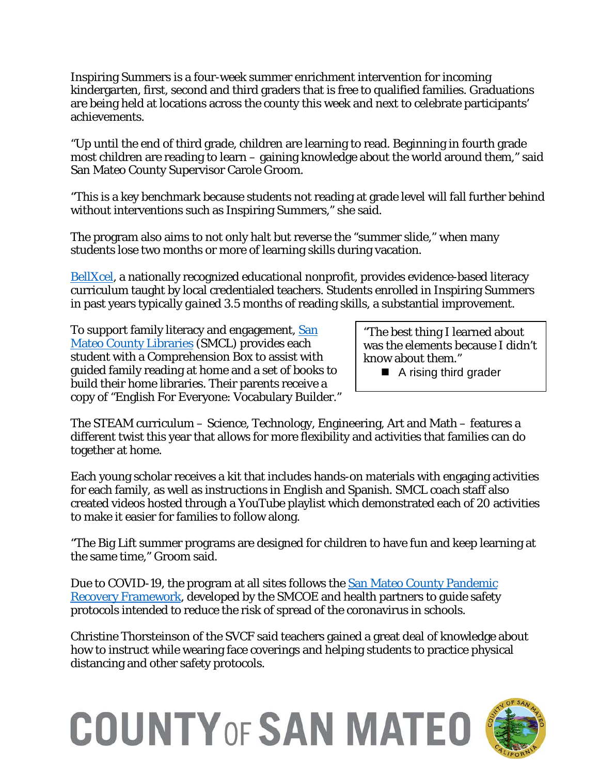Inspiring Summers is a four-week summer enrichment intervention for incoming kindergarten, first, second and third graders that is free to qualified families. Graduations are being held at locations across the county this week and next to celebrate participants' achievements.

"Up until the end of third grade, children are learning to read. Beginning in fourth grade most children are reading to learn – gaining knowledge about the world around them," said San Mateo County Supervisor Carole Groom.

"This is a key benchmark because students not reading at grade level will fall further behind without interventions such as Inspiring Summers," she said.

The program also aims to not only halt but reverse the "summer slide," when many students lose two months or more of learning skills during vacation.

[BellXcel,](https://www.bellxcel.org/) a nationally recognized educational nonprofit, provides evidence-based literacy curriculum taught by local credentialed teachers. Students enrolled in Inspiring Summers in past years typically *gained* 3.5 months of reading skills, a substantial improvement.

To support family literacy and engagement, San [Mateo County Libraries](https://smcl.org/) (SMCL) provides each student with a Comprehension Box to assist with guided family reading at home and a set of books to build their home libraries. Their parents receive a copy of "English For Everyone: Vocabulary Builder."

"The best thing I learned about was the elements because I didn't know about them."

■ A rising third grader

The STEAM curriculum – Science, Technology, Engineering, Art and Math – features a different twist this year that allows for more flexibility and activities that families can do together at home.

Each young scholar receives a kit that includes hands-on materials with engaging activities for each family, as well as instructions in English and Spanish. SMCL coach staff also created videos hosted through a YouTube playlist which demonstrated each of 20 activities to make it easier for families to follow along.

"The Big Lift summer programs are designed for children to have fun and keep learning at the same time," Groom said.

Due to COVID-19, the program at all sites follows the [San Mateo County Pandemic](https://www.smcoe.org/assets/files/Alert_FIL/Pandemic_Recovery_Framework.pdf)  [Recovery Framework,](https://www.smcoe.org/assets/files/Alert_FIL/Pandemic_Recovery_Framework.pdf) developed by the SMCOE and health partners to guide safety protocols intended to reduce the risk of spread of the coronavirus in schools.

Christine Thorsteinson of the SVCF said teachers gained a great deal of knowledge about how to instruct while wearing face coverings and helping students to practice physical distancing and other safety protocols.

# **COUNTY OF SAN MATEO**